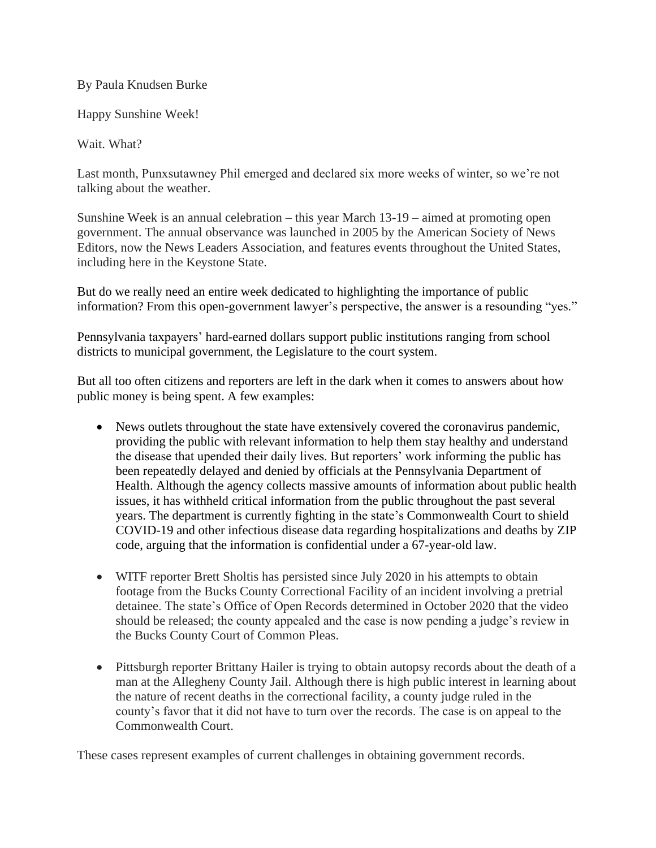## By Paula Knudsen Burke

Happy Sunshine Week!

Wait. What?

Last month, Punxsutawney Phil emerged and declared six more weeks of winter, so we're not talking about the weather.

Sunshine Week is an annual celebration – this year March 13-19 – aimed at promoting open government. The annual observance was launched in 2005 by the American Society of News Editors, now the News Leaders Association, and features events throughout the United States, including here in the Keystone State.

But do we really need an entire week dedicated to highlighting the importance of public information? From this open-government lawyer's perspective, the answer is a resounding "yes."

Pennsylvania taxpayers' hard-earned dollars support public institutions ranging from school districts to municipal government, the Legislature to the court system.

But all too often citizens and reporters are left in the dark when it comes to answers about how public money is being spent. A few examples:

- News outlets throughout the state have extensively covered the coronavirus pandemic, providing the public with relevant information to help them stay healthy and understand the disease that upended their daily lives. But reporters' work informing the public has been repeatedly delayed and denied by officials at the Pennsylvania Department of Health. Although the agency collects massive amounts of information about public health issues, it has withheld critical information from the public throughout the past several years. The department is currently fighting in the state's Commonwealth Court to shield COVID-19 and other infectious disease data regarding hospitalizations and deaths by ZIP code, arguing that the information is confidential under a 67-year-old law.
- WITF reporter Brett Sholtis has persisted since July 2020 in his attempts to obtain footage from the Bucks County Correctional Facility of an incident involving a pretrial detainee. The state's Office of Open Records determined in October 2020 that the video should be released; the county appealed and the case is now pending a judge's review in the Bucks County Court of Common Pleas.
- Pittsburgh reporter Brittany Hailer is trying to obtain autopsy records about the death of a man at the Allegheny County Jail. Although there is high public interest in learning about the nature of recent deaths in the correctional facility, a county judge ruled in the county's favor that it did not have to turn over the records. The case is on appeal to the Commonwealth Court.

These cases represent examples of current challenges in obtaining government records.